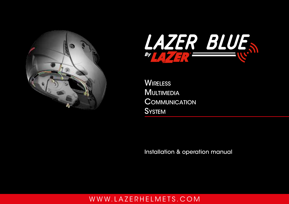



**WIRELESS MULTIMEDIA COMMUNICATION SYSTEM** 

Installation & operation manual

## [w w w. l a z e r h e l m e t s . c o m](http://www.lazerhelmets.com)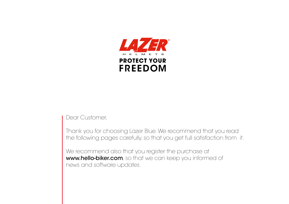

Dear Customer,

Thank you for choosing Lazer Blue. We recommend that you read the following pages carefully, so that you get full satisfaction from it.

We recommend also that you register the purchase at [www.hello-biker.com](http://www.hello-Biker.com), so that we can keep you informed of news and software updates.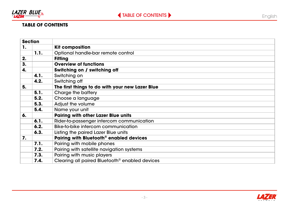<span id="page-2-0"></span>

## **TABLE OF CONTENTS**

| <b>Section</b> |                                                                    |                                                     |
|----------------|--------------------------------------------------------------------|-----------------------------------------------------|
| 1.             |                                                                    | <b>Kit composition</b>                              |
|                | 1.1.                                                               | Optional handle-bar remote control                  |
| 2.             |                                                                    | <b>Fitting</b>                                      |
| 3.             |                                                                    | <b>Overview of functions</b>                        |
| 4.             |                                                                    | Switching on / switching off                        |
|                | 4.1.                                                               | Switching on                                        |
|                | 4.2.                                                               | Switching off                                       |
| 5.             |                                                                    | The first things to do with your new Lazer Blue     |
|                | 5.1.                                                               | Charge the battery                                  |
|                | 5.2.                                                               | Choose a language                                   |
|                | 5.3.                                                               | Adjust the volume                                   |
|                | 5.4.                                                               | Name your unit                                      |
| 6.             |                                                                    | <b>Pairing with other Lazer Blue units</b>          |
|                | 6.1.                                                               | Rider-to-passenger intercom communication           |
|                | 6.2.                                                               | Bike-to-bike intercom communication                 |
|                | 6.3.                                                               | Listing the paired Lazer Blue units                 |
| 7.             |                                                                    | Pairing with Bluetooth <sup>®</sup> enabled devices |
|                | 7.1.                                                               | Pairing with mobile phones                          |
|                | 7.2.                                                               | Pairing with satellite navigation systems           |
|                | 7.3.                                                               | Pairing with music players                          |
|                | Clearing all paired Bluetooth <sup>®</sup> enabled devices<br>7.4. |                                                     |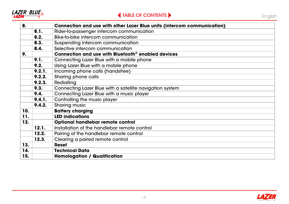<span id="page-3-0"></span>

| 8.  |                               | Connection and use with other Lazer Blue units (intercom communication) |  |
|-----|-------------------------------|-------------------------------------------------------------------------|--|
|     | 8.1.                          | Rider-to-passenger intercom communication                               |  |
|     | 8.2.                          | Bike-to-bike intercom communication                                     |  |
|     | 8.3.                          | Suspending intercom communication                                       |  |
|     | 8.4.                          | Selective intercom communication                                        |  |
| 9.  |                               | Connection and use with Bluetooth <sup>®</sup> enabled devices          |  |
|     | 9.1.                          | Connecting Lazer Blue with a mobile phone                               |  |
|     | 9.2.                          | Using Lazer Blue with a mobile phone                                    |  |
|     | 9.2.1.                        | Incoming phone calls (handsfree)                                        |  |
|     | Sharing phone calls<br>9.2.2. |                                                                         |  |
|     | 9.2.3.                        | Redialling                                                              |  |
|     | 9.3.                          | Connecting Lazer Blue with a satellite navigation system                |  |
|     | 9.4.                          | Connecting Lazer Blue with a music player                               |  |
|     | 9.4.1.                        | Controlling the music player                                            |  |
|     | 9.4.2.                        | Sharing music                                                           |  |
| 10. |                               | <b>Battery charging</b>                                                 |  |
| 11. |                               | <b>LED indications</b>                                                  |  |
| 12. |                               | Optional handlebar remote control                                       |  |
|     | 12.1.                         | Installation of the handlebar remote control                            |  |
|     | 12.2.                         | Pairing of the handlebar remote control                                 |  |
|     | 12.3.                         | Clearing a paired remote control                                        |  |
| 13. |                               | <b>Reset</b>                                                            |  |
| 14. |                               | <b>Technical Data</b>                                                   |  |
| 15. |                               | <b>Homologation / Qualification</b>                                     |  |

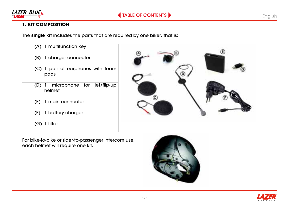<span id="page-4-0"></span>

### **1. KIT COMPOSITION**

The **single kit** includes the parts that are required by one biker, that is:

| (A) 1 multifunction key                     |   |
|---------------------------------------------|---|
| (B) 1 charger connector                     |   |
| (C) 1 pair of earphones with foam<br>pads   |   |
| microphone for jet/flip-up<br>(D)<br>helmet | c |
| 1 main connector<br>(E)                     |   |
| 1 battery-charger<br>(F)                    |   |
| 1 filtre<br>(G).                            |   |
|                                             |   |

For bike-to-bike or rider-to-passenger intercom use, each helmet will require one kit.



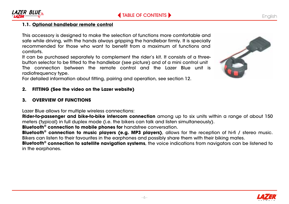

## <span id="page-5-0"></span>**1.1. Optional handlebar remote control**

This accessory is designed to make the selection of functions more comfortable and safe while driving, with the hands always gripping the handlebar firmly. It is specially recommended for those who want to benefit from a maximum of functions and comforts.

It can be purchased separately to complement the rider's kit. It consists of a threebutton selector to be fitted to the handlebar (see picture) and of a mini control unit The connection between the remote control and the Lazer Blue unit is radiofrequency type.

For detailed information about fitting, pairing and operation, see section 12.

#### **2. FITTING (See the video on the Lazer website)**

#### **3. OVERVIEW OF FUNCTIONS**

Lazer Blue allows for multiple wireless connections:

**Rider-to-passenger and bike-to-bike intercom connection** among up to six units within a range of about 150 meters (typical) in full duplex mode (i.e. the bikers can talk and listen simultaneously).

**Bluetooth® connection to mobile phones for** handsfree conversation.

**Bluetooth® connection to music players (e.g. MP3 players)**, allows for the reception of hi-fi / stereo music. Bikers can listen to their favourites in the earphones and possibly share them with their biking mates.

**Bluetooth® connection to satellite navigation systems**, the voice indications from navigators can be listened to in the earphones.



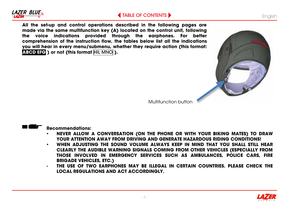# **LAZER BLUE**

## **[TABLE OF CONTENTS](#page-2-0)**

**English** 

**All the set-up and control operations described in the following pages are made via the same multifunction key (A) located on the control unit, following the voice indications provided through the earphones. For better comprehension of the instruction flow, the tables below list all the indications you will hear in every menu/submenu, whether they require action (this format: ABCD EFG ) or not (this format** HIL MNO **).**



Multifunction button



**Recommendations:** 

- **NEVER ALLOW A CONVERSATION (ON THE PHONE OR WITH YOUR BIKING MATES) TO DRAW YOUR ATTENTION AWAY FROM DRIVING AND GENERATE HAZARDOUS RIDING CONDITIONS!**
- **WHEN ADJUSTING THE SOUND VOLUME ALWAYS KEEP IN MIND THAT YOU SHALL STILL HEAR CLEARLY THE AUDIBLE WARNING SIGNALS COMING FROM OTHER VEHICLES (ESPECIALLY FROM THOSE INVOLVED IN EMERGENCY SERVICES SUCH AS AMBULANCES, POLICE CARS, FIRE BRIGADE VEHICLES, ETC.)**
- **THE USE OF TWO EARPHONES MAY BE ILLEGAL IN CERTAIN COUNTRIES. PLEASE CHECK THE LOCAL REGULATIONS AND ACT ACCORDINGLY.**

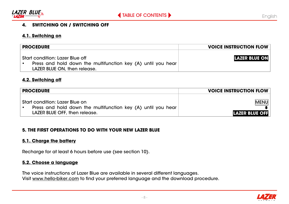<span id="page-7-0"></span>

#### **4. SWITCHING ON / SWITCHING OFF**

#### **4.1. Switching on**

| <b>PROCEDURE</b>                                                                                                                | <b>VOICE INSTRUCTION FLOW</b> |
|---------------------------------------------------------------------------------------------------------------------------------|-------------------------------|
| Start condition: Lazer Blue off<br>Press and hold down the multifunction key (A) until you hear<br>LAZER BLUE ON, then release. | <b>LAZER BLUE ON</b>          |

#### **4.2. Switching off**

| <b>PROCEDURE</b>                                                                                                                | <b>VOICE INSTRUCTION FLOW</b>        |
|---------------------------------------------------------------------------------------------------------------------------------|--------------------------------------|
| Start condition: Lazer Blue on<br>Press and hold down the multifunction key (A) until you hear<br>LAZER BLUE OFF, then release. | <b>MENU</b><br><b>LAZER BLUE OFF</b> |

#### **5. THE FIRST OPERATIONS TO DO WITH YOUR NEW LAZER BLUE**

#### **5.1. Charge the battery**

Recharge for at least 6 hours before use (see section 10).

#### **5.2. Choose a language**

The voice instructions of Lazer Blue are available in several different languages. Visit www.hello-biker.com to find your preferred language and the download procedure.

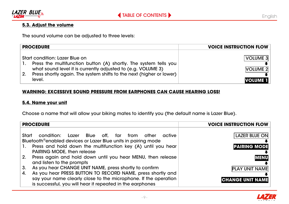<span id="page-8-0"></span>

### **5.3. Adjust the volume**

The sound volume can be adjusted to three levels:

| <b>PROCEDURE</b>                                                                                                                                                                                                                                     | <b>VOICE INSTRUCTION FLOW</b>                  |
|------------------------------------------------------------------------------------------------------------------------------------------------------------------------------------------------------------------------------------------------------|------------------------------------------------|
| Start condition: Lazer Blue on<br>Press the multifunction button (A) shortly. The system tells you<br>what sound level it is currently adjusted to (e.g. VOLUME 3)<br>Press shortly again. The system shifts to the next (higher or lower)<br>level. | VOLUME 3<br><b>VOLUME 2</b><br><b>VOLUME 1</b> |

#### **WARNING: EXCESSIVE SOUND PRESSURE FROM EARPHONES CAN CAUSE HEARING LOSS!**

#### **5.4. Name your unit**

Choose a name that will allow your biking mates to identify you (the default name is Lazer Blue).

|       | <b>PROCEDURE</b>                                                                                                                  | <b>VOICE INSTRUCTION FLOW</b> |
|-------|-----------------------------------------------------------------------------------------------------------------------------------|-------------------------------|
| Start | condition: Lazer Blue off, far from other<br>active<br>Bluetooth <sup>®</sup> enabled devices or Lazer Blue units in pairing mode | <b>LAZER BLUE ON</b>          |
| 1.    | Press and hold down the multifunction key (A) until you hear<br>PAIRING MODE, then release                                        | <b>PAIRING MODE</b>           |
| 2.    | Press again and hold down until you hear MENU, then release<br>and listen to the prompts                                          | <b>MENU</b>                   |
| 3.    | As you hear CHANGE UNIT NAME, press shortly to confirm                                                                            | <b>PLAY UNIT NAME</b>         |
| 4.    | As you hear PRESS BUTTON TO RECORD NAME, press shortly and                                                                        |                               |
|       | say your name clearly close to the microphone. If the operation<br>is successful, you will hear if repeated in the earphones      | <b>CHANGE UNIT NAME</b>       |

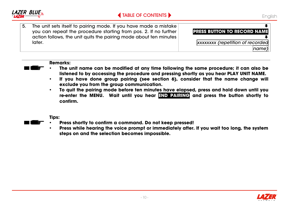

 $\ddot{\phantom{0}}$ 

 $\ddot{\phantom{0}}$ 

*name)*

**PRESS BUTTON TO RECORD NAME**

*xxxxxxxx (repetition of recorded*

5. The unit sets itself to pairing mode. If you have made a mistake you can repeat the procedure starting from pos. 2. If no further action follows, the unit quits the pairing mode about ten minutes later.

#### **Remarks:**

- **The unit name can be modified at any time following the same procedure; it can also be listened to by accessing the procedure and pressing shortly as you hear PLAY UNIT NAME.**
- **If you have done group pairing (see section 6), consider that the name change will exclude you from the group communication.**
- **To quit the pairing mode before ten minutes have elapsed, press and hold down until you re-enter the MENU. Wait until you hear END PAIRING and press the button shortly to confirm.**

**Tips:**

- **Press shortly to confirm a command. Do not keep pressed!**
- **Press while hearing the voice prompt or immediately after. If you wait too long, the system steps on and the selection becomes impossible.**

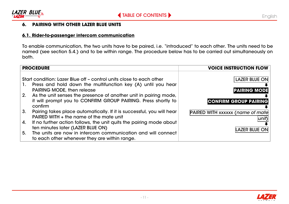<span id="page-10-0"></span>

### **6. PAIRING WITH OTHER LAZER BLUE UNITS**

#### **6.1. Rider-to-passenger intercom communication**

To enable communication, the two units have to be paired, i.e. "introduced" to each other. The units need to be named (see section 5.4.) and to be within range. The procedure below has to be carried out simultaneously on both.

|          | <b>PROCEDURE</b>                                                                                                                                                                                                                                                                                                  | <b>VOICE INSTRUCTION FLOW</b>                                               |
|----------|-------------------------------------------------------------------------------------------------------------------------------------------------------------------------------------------------------------------------------------------------------------------------------------------------------------------|-----------------------------------------------------------------------------|
| 1.<br>2. | Start condition: Lazer Blue off - control units close to each other<br>Press and hold down the multifunction key (A) until you hear<br>PAIRING MODE, then release<br>As the unit senses the presence of another unit in pairing mode,<br>it will prompt you to CONFIRM GROUP PAIRING. Press shortly to<br>confirm | <b>LAZER BLUE ON</b><br><b>PAIRING MODE</b><br><b>CONFIRM GROUP PAIRING</b> |
| 3.       | Pairing takes place automatically. If it is successful, you will hear<br>PAIRED WITH + the name of the mate unit                                                                                                                                                                                                  | <b>PAIRED WITH xxxxxx (name of mate</b>                                     |
| 4.       | If no further action follows, the unit quits the pairing mode about<br>ten minutes later (LAZER BLUE ON)                                                                                                                                                                                                          | <b>LAZER BLUE ON</b>                                                        |
| 5.       | The units are now in intercom communication and will connect<br>to each other whenever they are within range.                                                                                                                                                                                                     |                                                                             |

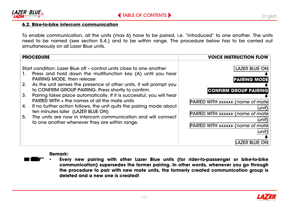<span id="page-11-0"></span>

#### **6.2. Bike-to-bike intercom communication**

To enable communication, all the units (max 6) have to be paired, i.e. "introduced" to one another. The units need to be named (see section 5.4.) and to be within range. The procedure below has to be carried out simultaneously on all Lazer Blue units.

| <b>PROCEDURE</b>                                                                                                                                                                                                                                                                                                                                                                                                                                                                                                                                                                                                                                                                        | <b>VOICE INSTRUCTION FLOW</b>                                                                                                                                                                                                                           |
|-----------------------------------------------------------------------------------------------------------------------------------------------------------------------------------------------------------------------------------------------------------------------------------------------------------------------------------------------------------------------------------------------------------------------------------------------------------------------------------------------------------------------------------------------------------------------------------------------------------------------------------------------------------------------------------------|---------------------------------------------------------------------------------------------------------------------------------------------------------------------------------------------------------------------------------------------------------|
| Start condition: Lazer Blue off - control units close to one another<br>Press and hold down the multifunction key (A) until you hear<br>1.<br>PAIRING MODE, then release<br>As the unit senses the presence of other units, it will prompt you<br>2.<br>to CONFIRM GROUP PAIRING. Press shortly to confirm.<br>Pairing takes place automatically. If it is successful, you will hear<br>3.<br>PAIRED WITH $+$ the names of all the mate units<br>If no further action follows, the unit quits the pairing mode about<br>4.<br>ten minutes later (LAZER BLUE ON)<br>The units are now in intercom communication and will connect<br>5.<br>to one another whenever they are within range. | LAZER BLUE ON<br><b>PAIRING MODE</b><br><b>CONFIRM GROUP PAIRING</b><br><b>PAIRED WITH xxxxxx (name of mate</b><br>unit)<br><b>PAIRED WITH xxxxxx (name of mate</b><br>unit)<br><b>PAIRED WITH xxxxxx (name of mate</b><br>unit<br><b>LAZER BLUE ON</b> |

**Remark:**

• **Every new pairing with other Lazer Blue units (for rider-to-passenger or bike-to-bike communication) supersedes the former pairing. In other words, whenever you go through the procedure to pair with new mate units, the formerly created communication group is deleted and a new one is created!**

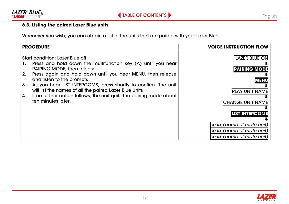<span id="page-12-0"></span>

### **6.3. Listing the paired Lazer Blue units**

Whenever you wish, you can obtain a list of the units that are paired with your Lazer Blue.

| <b>PROCEDURE</b>                                                                                                                                                                                                                                                                                                                                                                                                                                                           | <b>VOICE INSTRUCTION FLOW</b>                                                                                                                                                                   |
|----------------------------------------------------------------------------------------------------------------------------------------------------------------------------------------------------------------------------------------------------------------------------------------------------------------------------------------------------------------------------------------------------------------------------------------------------------------------------|-------------------------------------------------------------------------------------------------------------------------------------------------------------------------------------------------|
| Start condition: Lazer Blue off<br>Press and hold down the multifunction key (A) until you hear<br>1.<br>PAIRING MODE, then release<br>2.<br>Press again and hold down until you hear MENU, then release<br>and listen to the prompts<br>3.<br>As you hear LIST INTERCOMS, press shortly to confirm. The unit<br>will list the names of all the paired Lazer Blue units<br>If no further action follows, the unit quits the pairing mode about<br>4.<br>ten minutes later. | <b>LAZER BLUE ON</b><br><b>PAIRING MODE</b><br><b>MENU</b><br><b>PLAY UNIT NAME</b><br><b>CHANGE UNIT NAME</b><br><b>LIST INTERCOMS</b><br>xxxx (name of mate unit)<br>xxxx (name of mate unit) |
|                                                                                                                                                                                                                                                                                                                                                                                                                                                                            | xxxx (name of mate unit)                                                                                                                                                                        |

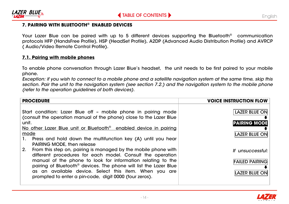<span id="page-13-0"></span>

#### **7. PAIRING WITH BLUETOOTH® ENABLED DEVICES**

Your Lazer Blue can be paired with up to 5 different devices supporting the Bluetooth® communication protocols HFP (HandsFree Profile), HSP (HeadSet Profile), A2DP (Advanced Audio Distribution Profile) and AVRCP ( Audio/Video Remote Control Profile).

#### **7.1. Pairing with mobile phones**

To enable phone conversation through Lazer Blue's headset, the unit needs to be first paired to your mobile phone.

*Exception: if you wish to connect to a mobile phone and a satellite navigation system at the same time, skip this*  section. Pair the unit to the navigation system (see section 7.2.) and the navigation system to the mobile phone *(refer to the operation guidelines of both devices).*

| <b>PROCEDURE</b>                                                             | <b>VOICE INSTRUCTION FLOW</b> |
|------------------------------------------------------------------------------|-------------------------------|
|                                                                              |                               |
| Start condition: Lazer Blue off - mobile phone in pairing mode               | <b>LAZER BLUE ON</b>          |
| (consult the operation manual of the phone) close to the Lazer Blue          |                               |
| unit.                                                                        | <b>PAIRING MODE</b>           |
| No other Lazer Blue unit or Bluetooth <sup>®</sup> enabled device in pairing |                               |
| mode                                                                         | <b>LAZER BLUE ON</b>          |
| Press and hold down the multifunction key (A) until you hear<br>1.           |                               |
| <b>PAIRING MODE, then release</b>                                            |                               |
| From this step on, pairing is managed by the mobile phone with<br>2.         | If unsuccessful:              |
| different procedures for each model. Consult the operation                   |                               |
| manual of the phone to look for information relating to the                  | <b>FAILED PAIRING</b>         |
| pairing of Bluetooth® devices. The phone will list the Lazer Blue            |                               |
| as an available device. Select this item. When you are                       | <b>LAZER BLUE ON</b>          |
| prompted to enter a pin-code, digit 0000 (four zeros).                       |                               |
|                                                                              |                               |

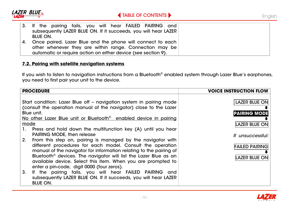<span id="page-14-0"></span>

|    | 3. If the pairing fails, you will hear FAILED PAIRING and       |
|----|-----------------------------------------------------------------|
|    | subsequently LAZER BLUE ON. If it succeeds, you will hear LAZER |
|    | BLUE ON.                                                        |
| 4. | Once paired, Lazer Blue and the phone will connect to each      |
|    | other whenever they are within range. Connection may be         |
|    | automatic or require action on either device (see section 9).   |

#### **7.2. Pairing with satellite navigation systems**

If you wish to listen to navigation instructions from a Bluetooth® enabled system through Lazer Blue's earphones, you need to first pair your unit to the device.

| <b>PROCEDURE</b>                                                                                                                                                                                                                                                                                                                                                                                    | <b>VOICE INSTRUCTION FLOW</b>                                     |
|-----------------------------------------------------------------------------------------------------------------------------------------------------------------------------------------------------------------------------------------------------------------------------------------------------------------------------------------------------------------------------------------------------|-------------------------------------------------------------------|
| Start condition: Lazer Blue off - navigation system in pairing mode<br>(consult the operation manual of the navigator) close to the Lazer<br>Blue unit.<br>No other Lazer Blue unit or Bluetooth <sup>®</sup> enabled device in pairing                                                                                                                                                             | <b>LAZER BLUE ON</b><br><b>PAIRING MODE</b>                       |
| mode<br>1. Press and hold down the multifunction key (A) until you hear<br><b>PAIRING MODE, then release</b>                                                                                                                                                                                                                                                                                        | <b>LAZER BLUE ON</b>                                              |
| 2.<br>From this step on, pairing is managed by the navigator with<br>different procedures for each model. Consult the operation<br>manual of the navigator for information relating to the pairing of<br>Bluetooth <sup>®</sup> devices. The navigator will list the Lazer Blue as an<br>available device. Select this item. When you are prompted to<br>enter a pin-code, digit 0000 (four zeros). | If unsuccessful:<br><b>FAILED PAIRING</b><br><b>LAZER BLUE ON</b> |
| If the pairing fails, you will hear FAILED PAIRING and<br>3.<br>subsequently LAZER BLUE ON. If it succeeds, you will hear LAZER<br><b>BLUE ON.</b>                                                                                                                                                                                                                                                  |                                                                   |

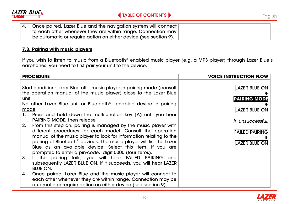<span id="page-15-0"></span>

4. Once paired, Lazer Blue and the navigation system will connect to each other whenever they are within range. Connection may be automatic or require action on either device (see section 9).

#### **7.3. Pairing with music players**

If you wish to listen to music from a Bluetooth® enabled music player (e.g. a MP3 player) through Lazer Blue's earphones, you need to first pair your unit to the device.

| <b>PROCEDURE</b>                                                                                                                                                                                                    | <b>VOICE INSTRUCTION FLOW</b>                 |
|---------------------------------------------------------------------------------------------------------------------------------------------------------------------------------------------------------------------|-----------------------------------------------|
| Start condition: Lazer Blue off - music player in pairing mode (consult<br>the operation manual of the music player) close to the Lazer Blue<br>unit.                                                               | <b>LAZER BLUE ON</b><br><b>PAIRING MODE</b>   |
| No other Lazer Blue unit or Bluetooth <sup>®</sup> enabled device in pairing                                                                                                                                        |                                               |
| mode<br>1. Press and hold down the multifunction key (A) until you hear                                                                                                                                             | <b>LAZER BLUE ON</b>                          |
| PAIRING MODE, then release<br>From this step on, pairing is managed by the music player with<br>2.                                                                                                                  | If unsuccessful:                              |
| different procedures for each model. Consult the operation<br>manual of the music player to look for information relating to the<br>pairing of Bluetooth <sup>®</sup> devices. The music player will list the Lazer | <b>FAILED PAIRING</b><br><b>LAZER BLUE ON</b> |
| Blue as an available device. Select this item. If you are                                                                                                                                                           |                                               |
| prompted to enter a pin-code, digit 0000 (four zeros).<br>3.<br>If the pairing fails, you will hear FAILED PAIRING and<br>subsequently LAZER BLUE ON. If it succeeds, you will hear LAZER<br><b>BLUE ON.</b>        |                                               |
| Once paired, Lazer Blue and the music player will connect to<br>4.<br>each other whenever they are within range. Connection may be<br>automatic or require action on either device (see section 9).                 |                                               |

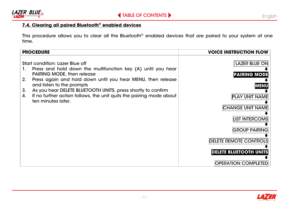<span id="page-16-0"></span>

## **7.4. Clearing all paired Bluetooth® enabled devices**

This procedure allows you to clear all the Bluetooth® enabled devices that are paired to your system at one time.

| <b>PROCEDURE</b>                                                                                                                                                                                                                                                                                                                                                                                                      | <b>VOICE INSTRUCTION FLOW</b>                                                                                                                                                                                              |
|-----------------------------------------------------------------------------------------------------------------------------------------------------------------------------------------------------------------------------------------------------------------------------------------------------------------------------------------------------------------------------------------------------------------------|----------------------------------------------------------------------------------------------------------------------------------------------------------------------------------------------------------------------------|
| Start condition: Lazer Blue off<br>Press and hold down the multifunction key (A) until you hear<br>1.<br><b>PAIRING MODE, then release</b><br>Press again and hold down until you hear MENU, then release<br>2.<br>and listen to the prompts<br>As you hear DELETE BLUETOOTH UNITS, press shortly to confirm<br>3.<br>If no further action follows, the unit quits the pairing mode about<br>4.<br>ten minutes later. | LAZER BLUE ON<br><b>PAIRING MODE</b><br><b>MENU</b><br><b>PLAY UNIT NAME</b><br><b>CHANGE UNIT NAME</b><br><b>LIST INTERCOMS</b><br><b>GROUP PAIRING</b><br><b>DELETE REMOTE CONTROLS</b><br><b>DELETE BLUETOOTH UNITS</b> |
|                                                                                                                                                                                                                                                                                                                                                                                                                       | <b>OPERATION COMPLETED</b>                                                                                                                                                                                                 |

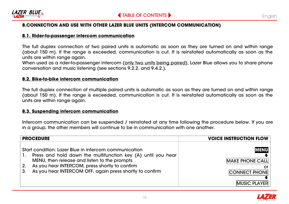<span id="page-17-0"></span>

#### **8.CONNECTION AND USE WITH OTHER LAZER BLUE UNITS (INTERCOM COMMUNICATION)**

#### **8.1. Rider-to-passenger intercom communication**

The full duplex connection of two paired units is automatic as soon as they are turned on and within range (about 150 m). If the range is exceeded, communication is cut. It is reinstated automatically as soon as the units are within range again.

When used as a rider-to-passenger intercom (only two units being paired), Lazer Blue allows you to share phone conversation and music listening (see sections 9.2.2. and 9.4.2.).

#### **8.2. Bike-to-bike intercom communication**

The full duplex connection of multiple paired units is automatic as soon as they are turned on and within range (about 150 m). If the range is exceeded, communication is cut. It is reinstated automatically as soon as the units are within range again.

#### **8.3. Suspending intercom communication**

Intercom communication can be suspended / reinstated at any time following the procedure below. If you are in a group, the other members will continue to be in communication with one another.

| <b>PROCEDURE</b>                                                                                                                                                                                                                                                                                       | <b>VOICE INSTRUCTION FLOW</b>                                                              |
|--------------------------------------------------------------------------------------------------------------------------------------------------------------------------------------------------------------------------------------------------------------------------------------------------------|--------------------------------------------------------------------------------------------|
| Start condition: Lazer Blue in intercom communication<br>Press and hold down the multifunction key (A) until you hear<br>-1.<br>MENU, then release and listen to the prompts<br>As you hear INTERCOM, press shortly to confirm<br>2.<br>As you hear INTERCOM OFF, again press shortly to confirm<br>3. | <b>MENU</b><br><b>MAKE PHONE CALL</b><br>or<br><b>CONNECT PHONE</b><br><b>MUSIC PLAYER</b> |

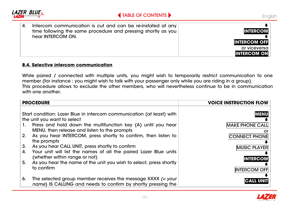<span id="page-18-0"></span>

#### **8.4. Selective intercom communication**

While paired / connected with multiple units, you might wish to temporarily restrict communication to one member (for instance : you might wish to talk with your passenger only while you are riding in a group). This procedure allows to exclude the other members, who will nevertheless continue to be in communication with one another

| <b>PROCEDURE</b>                                                                                                                      | <b>VOICE INSTRUCTION FLOW</b> |
|---------------------------------------------------------------------------------------------------------------------------------------|-------------------------------|
|                                                                                                                                       |                               |
| Start condition: Lazer Blue in intercom communication (at least) with                                                                 | <b>MENU</b>                   |
| the unit you want to select                                                                                                           |                               |
| Press and hold down the multifunction key (A) until you hear<br>1.                                                                    | <b>MAKE PHONE CALL</b>        |
| MENU, then release and listen to the prompts                                                                                          | or                            |
| As you hear INTERCOM, press shortly to confirm, then listen to<br>2.                                                                  | <b>CONNECT PHONE</b>          |
| the prompts                                                                                                                           |                               |
| 3.<br>As you hear CALL UNIT, press shortly to confirm                                                                                 | <b>MUSIC PLAYER</b>           |
| Your unit will list the names of all the paired Lazer Blue units<br>4.                                                                |                               |
| (whether within range or not)                                                                                                         | <b>INTERCOM</b>               |
| As you hear the name of the unit you wish to select, press shortly<br>5.                                                              |                               |
| to confirm                                                                                                                            | <b>INTERCOM OFF</b>           |
|                                                                                                                                       |                               |
| The selected group member receives the message $XXX$ $(=$ your<br>6.<br>name) IS CALLING and needs to confirm by shortly pressing the |                               |

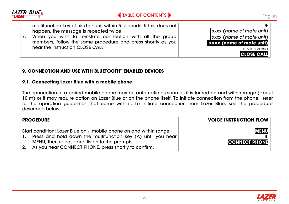<span id="page-19-0"></span>

#### **9. CONNECTION AND USE WITH BLUETOOTH® ENABLED DEVICES**

#### **9.1. Connecting Lazer Blue with a mobile phone**

The connection of a paired mobile phone may be automatic as soon as it is turned on and within range (about 10 m) or it may require action on Lazer Blue or on the phone itself. To initiate connection from the phone, refer to the operation guidelines that come with it. To initiate connection from Lazer Blue, see the procedure described below.

| <b>PROCEDURE</b>                                                  | <b>VOICE INSTRUCTION FLOW</b> |
|-------------------------------------------------------------------|-------------------------------|
|                                                                   |                               |
| Start condition: Lazer Blue on - mobile phone on and within range | <b>MENU</b>                   |
| Press and hold down the multifunction key (A) until you hear      |                               |
| MENU, then release and listen to the prompts                      | <b>CONNECT PHONE</b>          |
| As you hear CONNECT PHONE, press shortly to confirm.<br>2.        |                               |

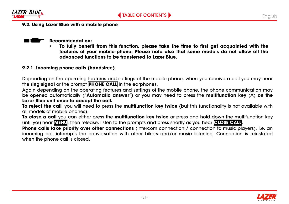<span id="page-20-0"></span>

#### **9.2. Using Lazer Blue with a mobile phone**

#### **Recommendation:**

• **To fully benefit from this function, please take the time to first get acquainted with the features of your mobile phone. Please note also that some models do not allow all the advanced functions to be transferred to Lazer Blue.**

#### **9.2.1. Incoming phone calls (handsfree)**

Depending on the operating features and settings of the mobile phone, when you receive a call you may hear the **ring signal** or the prompt **PHONE CALL** in the earphones.

Again depending on the operating features and settings of the mobile phone, the phone communication may be opened automatically ("**Automatic answer**") or you may need to press the **multifunction key** (A) **on the Lazer Blue unit once to accept the call.**

**To reject the call**, you will need to press the **multifunction key twice** (but this functionality is not available with all models of mobile phones).

**To close a call** you can either press the **multifunction key twice** or press and hold down the multifunction key until you hear **MENU**, then release, listen to the prompts and press shortly as you hear **CLOSE CALL**.

**Phone calls take priority over other connections** (intercom connection / connection to music players), i.e. an incoming call interrupts the conversation with other bikers and/or music listening. Connection is reinstated when the phone call is closed.

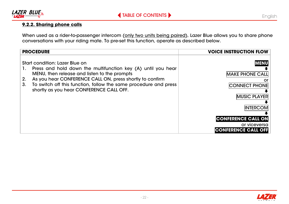<span id="page-21-0"></span>

### **9.2.2. Sharing phone calls**

When used as a rider-to-passenger intercom (<u>only two units being paired</u>), Lazer Blue allows you to share phone conversations with your riding mate. To pre-set this function, operate as described below.

| <b>PROCEDURE</b>                                                                                                                                                                                                                                                                                                                                         | <b>VOICE INSTRUCTION FLOW</b>                                                                                                                                                      |
|----------------------------------------------------------------------------------------------------------------------------------------------------------------------------------------------------------------------------------------------------------------------------------------------------------------------------------------------------------|------------------------------------------------------------------------------------------------------------------------------------------------------------------------------------|
| Start condition: Lazer Blue on<br>Press and hold down the multifunction key (A) until you hear<br>1.<br>MENU, then release and listen to the prompts<br>As you hear CONFERENCE CALL ON, press shortly to confirm<br>2.<br>3 <sub>1</sub><br>To switch off this function, follow the same procedure and press<br>shortly as you hear CONFERENCE CALL OFF. | <b>MENU</b><br><b>MAKE PHONE CALL</b><br><b>CONNECT PHONE</b><br><b>MUSIC PLAYER</b><br><b>INTERCOM</b><br><b>CONFERENCE CALL ON</b><br>or viceversa<br><b>CONFERENCE CALL OFF</b> |

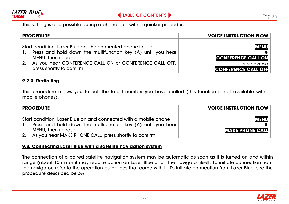

This setting is also possible during a phone call, with a quicker procedure:

| <b>PROCEDURE</b>                                                                                                                                                                                                                        | <b>VOICE INSTRUCTION FLOW</b>                                                            |
|-----------------------------------------------------------------------------------------------------------------------------------------------------------------------------------------------------------------------------------------|------------------------------------------------------------------------------------------|
| Start condition: Lazer Blue on, the connected phone in use<br>Press and hold down the multifunction key (A) until you hear<br>MENU, then release<br>As you hear CONFERENCE CALL ON or CONFERENCE CALL OFF,<br>press shortly to confirm. | <b>IMENUI</b><br><b>CONFERENCE CALL ON</b><br>or viceversa<br><b>CONFERENCE CALL OFF</b> |

#### **9.2.3. Redialling**

This procedure allows you to call the latest number you have dialled (this function is not available with all mobile phones).

|    | <b>PROCEDURE</b>                                                                                                                 | <b>VOICE INSTRUCTION FLOW</b> |
|----|----------------------------------------------------------------------------------------------------------------------------------|-------------------------------|
| п. | Start condition: Lazer Blue on and connected with a mobile phone<br>Press and hold down the multifunction key (A) until you hear | <b>MENUI</b>                  |
|    | MENU, then release                                                                                                               | <b>MAKE PHONE CALL</b>        |
|    | As you hear MAKE PHONE CALL, press shortly to confirm.                                                                           |                               |

#### **9.3. Connecting Lazer Blue with a satellite navigation system**

The connection of a paired satellite navigation system may be automatic as soon as it is turned on and within range (about 10 m) or it may require action on Lazer Blue or on the navigator itself. To initiate connection from the navigator, refer to the operation guidelines that come with it. To initiate connection from Lazer Blue, see the procedure described below.

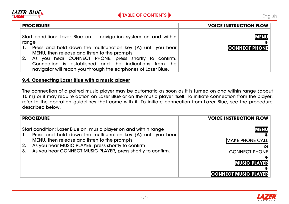<span id="page-23-0"></span>

| <b>PROCEDURE</b>                                                                                                                                                                | <b>VOICE INSTRUCTION FLOW</b> |
|---------------------------------------------------------------------------------------------------------------------------------------------------------------------------------|-------------------------------|
| Start condition: Lazer Blue on - navigation system on and within<br>range                                                                                                       | <b>MENU</b>                   |
| 1. Press and hold down the multifunction key (A) until you hear<br>MENU, then release and listen to the prompts                                                                 | <b>CONNECT PHONE</b>          |
| As you hear CONNECT PHONE, press shortly to confirm.<br>Connection is established and the indications from the<br>navigator will reach you through the earphones of Lazer Blue. |                               |

#### **9.4. Connecting Lazer Blue with a music player**

The connection of a paired music player may be automatic as soon as it is turned on and within range (about 10 m) or it may require action on Lazer Blue or on the music player itself. To initiate connection from the player, refer to the operation guidelines that come with it. To initiate connection from Lazer Blue, see the procedure described below.

| <b>PROCEDURE</b>                                                                                                                                                                                                                                                                                                        | <b>VOICE INSTRUCTION FLOW</b>                                                                                             |
|-------------------------------------------------------------------------------------------------------------------------------------------------------------------------------------------------------------------------------------------------------------------------------------------------------------------------|---------------------------------------------------------------------------------------------------------------------------|
| Start condition: Lazer Blue on, music player on and within range<br>Press and hold down the multifunction key (A) until you hear<br>1.<br>MENU, then release and listen to the prompts<br>As you hear MUSIC PLAYER, press shortly to confirm<br>2.<br>As you hear CONNECT MUSIC PLAYER, press shortly to confirm.<br>3. | <b>MENU</b><br><b>MAKE PHONE CALL</b><br>or<br><b>CONNECT PHONE</b><br><b>MUSIC PLAYER</b><br><b>CONNECT MUSIC PLAYER</b> |

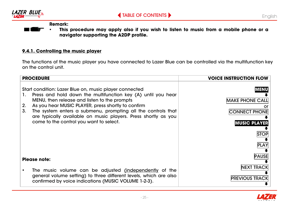<span id="page-24-0"></span>

English

**Remark:**

• **This procedure may apply also if you wish to listen to music from a mobile phone or a navigator supporting the A2DP profile.**

#### **9.4.1. Controlling the music player**

The functions of the music player you have connected to Lazer Blue can be controlled via the multifunction key on the control unit.

| <b>PROCEDURE</b>                                                                                                                                                                                                                                                                                                                                                                                                            | <b>VOICE INSTRUCTION FLOW</b>                                                                               |
|-----------------------------------------------------------------------------------------------------------------------------------------------------------------------------------------------------------------------------------------------------------------------------------------------------------------------------------------------------------------------------------------------------------------------------|-------------------------------------------------------------------------------------------------------------|
| Start condition: Lazer Blue on, music player connected<br>Press and hold down the multifunction key (A) until you hear<br>1.<br>MENU, then release and listen to the prompts<br>As you hear MUSIC PLAYER, press shortly to confirm<br>2.<br>3.<br>The system enters a submenu, prompting all the controls that<br>are typically available on music players. Press shortly as you<br>come to the control you want to select. | <b>MENU</b><br><b>MAKE PHONE CALI</b><br>ICONNECT PHONE<br><b>MUSIC PLAYER</b><br><b>STOP</b><br><b>PLA</b> |
| Please note:                                                                                                                                                                                                                                                                                                                                                                                                                | <b>PAUSE</b>                                                                                                |
| The music volume can be adjusted (independently of the<br>general volume setting) to three different levels, which are also<br>confirmed by voice indications (MUSIC VOLUME 1-2-3).                                                                                                                                                                                                                                         | NEXT TRACI<br><b>PREVIOUS TRACK</b>                                                                         |

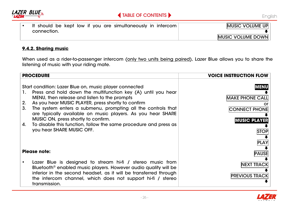<span id="page-25-0"></span>



• It should be kept low if you are simultaneously in intercom connection.



### **9.4.2. Sharing music**

When used as a rider-to-passenger intercom (only two units being paired), Lazer Blue allows you to share the listening of music with your riding mate.

| <b>PROCEDURE</b>     |                                                                                                                                                                                                                                                                                                                                                                                                                                                                                                     | <b>VOICE INSTRUCTION FLOW</b>                                                                                     |
|----------------------|-----------------------------------------------------------------------------------------------------------------------------------------------------------------------------------------------------------------------------------------------------------------------------------------------------------------------------------------------------------------------------------------------------------------------------------------------------------------------------------------------------|-------------------------------------------------------------------------------------------------------------------|
| 1.<br>2.<br>3.<br>4. | Start condition: Lazer Blue on, music player connected<br>Press and hold down the multifunction key (A) until you hear<br>MENU, then release and listen to the prompts<br>As you hear MUSIC PLAYER, press shortly to confirm<br>The system enters a submenu, prompting all the controls that<br>are typically available on music players. As you hear SHARE<br>MUSIC ON, press shortly to confirm.<br>To disable this function, follow the same procedure and press as<br>you hear SHARE MUSIC OFF. | MENU<br><b>MAKE PHONE CALL</b><br>or<br><b>CONNECT PHONE</b><br><b>MUSIC PLAYER</b><br><b>STOP</b><br><b>PLAY</b> |
| Please note:         |                                                                                                                                                                                                                                                                                                                                                                                                                                                                                                     | <b>PAUSE</b>                                                                                                      |
|                      | Lazer Blue is designed to stream hi-fi / stereo music from<br>Bluetooth <sup>®</sup> enabled music players. However audio quality will be<br>inferior in the second headset, as it will be transferred through<br>the intercom channel, which does not support hi-fi / stereo<br>transmission.                                                                                                                                                                                                      | <b>NEXT TRACK</b><br><b>PREVIOUS TRACK</b>                                                                        |

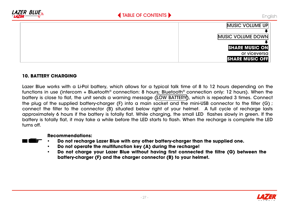<span id="page-26-0"></span>

#### **10. BATTERY CHARGING**

Lazer Blue works with a Li-Pol battery, which allows for a typical talk time of 8 to 12 hours depending on the functions in use (intercom + Bluetooth® connection: 8 hours; Bluetooth® connection only: 12 hours). When the battery is close to flat, the unit sends a warning message (LOW BATTERY), which is repeated 3 times. Connect the plug of the supplied battery-charger (F) into a main socket and the mini-USB connector to the filter (G) ; connect the filter to the connector (B) situated below right of your helmet. A full cycle of recharge lasts approximately 6 hours if the battery is totally flat. While charging, the small LED flashes slowly in green. If the battery is totally flat, it may take a while before the LED starts to flash. When the recharge is complete the LED turns off.



#### **Recommendations:**

- **Do not recharge Lazer Blue with any other battery-charger than the supplied one.**
- **Do not operate the multifunction key (A) during the recharge!**
- **Do not charge your Lazer Blue without having first connected the filtre (G) between the battery-charger (F) and the charger connector (B) to your helmet.**

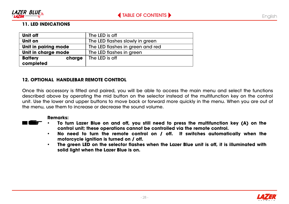<span id="page-27-0"></span>

#### **11. LED INDICATIONS**

| Unit off                 | The LED is off                   |  |
|--------------------------|----------------------------------|--|
| Unit on                  | The LED flashes slowly in green  |  |
| Unit in pairing mode     | The LED flashes in green and red |  |
| Unit in charge mode      | The LED flashes in green         |  |
| <b>Battery</b><br>charge | The LED is off                   |  |
| completed                |                                  |  |

#### **12. OPTIONAL HANDLEBAR REMOTE CONTROL**

Once this accessory is fitted and paired, you will be able to access the main menu and select the functions described above by operating the mid button on the selector instead of the multifunction key on the control unit. Use the lower and upper buttons to move back or forward more quickly in the menu. When you are out of the menu, use them to increase or decrease the sound volume.

#### **Remarks:**

- **To turn Lazer Blue on and off, you still need to press the multifunction key (A) on the control unit; these operations cannot be controlled via the remote control.**
- **No need to turn the remote control on / off. It switches automatically when the motorcycle ignition is turned on / off.**
- **The green LED on the selector flashes when the Lazer Blue unit is off, it is illuminated with solid light when the Lazer Blue is on.**

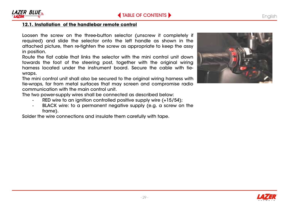<span id="page-28-0"></span>

#### **12.1. Installation of the handlebar remote control**

Loosen the screw on the three-button selector (unscrew it completely if required) and slide the selector onto the left handle as shown in the attached picture, then re-tighten the screw as appropriate to keep the assy in position.

Route the flat cable that links the selector with the mini control unit down towards the foot of the steering post, together with the original wiring harness located under the instrument board. Secure the cable with tiewraps.

The mini control unit shall also be secured to the original wiring harness with tie-wraps, far from metal surfaces that may screen and compromise radio communication with the main control unit.

The two power-supply wires shall be connected as described below:

- RED wire to an ignition controlled positive supply wire (+15/54);
- BLACK wire: to a permanent negative supply (e.g. a screw on the frame).

Solder the wire connections and insulate them carefully with tape.



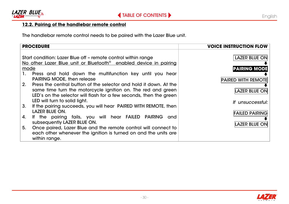<span id="page-29-0"></span>

### **12.2. Pairing of the handlebar remote control**

The handlebar remote control needs to be paired with the Lazer Blue unit.

|                                                                                                                                                       | <b>PROCEDURE</b>                                                                                                                                                                                        | <b>VOICE INSTRUCTION FLOW</b>             |
|-------------------------------------------------------------------------------------------------------------------------------------------------------|---------------------------------------------------------------------------------------------------------------------------------------------------------------------------------------------------------|-------------------------------------------|
| Start condition: Lazer Blue off - remote control within range<br>No other Lazer Blue unit or Bluetooth <sup>®</sup> enabled device in pairing<br>mode |                                                                                                                                                                                                         | LAZER BLUE ON<br><b>PAIRING MODE</b>      |
| 1.<br>2.                                                                                                                                              | Press and hold down the multifunction key until you hear<br><b>PAIRING MODE, then release</b>                                                                                                           | <b>PAIRED WITH REMOTE</b>                 |
|                                                                                                                                                       | Press the central button of the selector and hold it down. At the<br>same time turn the motorcycle ignition on. The red and green<br>LED's on the selector will flash for a few seconds, then the green | <b>LAZER BLUE ON</b>                      |
| 3.                                                                                                                                                    | LED will turn to solid light.<br>If the pairing succeeds, you will hear PAIRED WITH REMOTE, then<br>LAZER BLUE ON.                                                                                      | If unsuccessful:<br><b>FAILED PAIRING</b> |
| 4.                                                                                                                                                    | If the pairing fails, you will hear FAILED PAIRING<br>and<br>subsequently LAZER BLUE ON.                                                                                                                | <b>LAZER BLUE ON</b>                      |
| 5.                                                                                                                                                    | Once paired, Lazer Blue and the remote control will connect to<br>each other whenever the ignition is turned on and the units are<br>within range.                                                      |                                           |

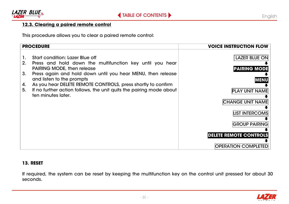<span id="page-30-0"></span>

### **12.3. Clearing a paired remote control**

This procedure allows you to clear a paired remote control:

| <b>PROCEDURE</b>                                                                                                                                                                                                                                                                                                                                                                                                        | <b>VOICE INSTRUCTION FLOW</b>                                                                                                                                                                    |
|-------------------------------------------------------------------------------------------------------------------------------------------------------------------------------------------------------------------------------------------------------------------------------------------------------------------------------------------------------------------------------------------------------------------------|--------------------------------------------------------------------------------------------------------------------------------------------------------------------------------------------------|
| Start condition: Lazer Blue off<br>1.<br>2.<br>Press and hold down the multifunction key until you hear<br><b>PAIRING MODE, then release</b><br>Press again and hold down until you hear MENU, then release<br>3.<br>and listen to the prompts<br>As you hear DELETE REMOTE CONTROLS, press shortly to confirm<br>4.<br>If no further action follows, the unit quits the pairing mode about<br>5.<br>ten minutes later. | <b>LAZER BLUE ON</b><br><b>PAIRING MODE</b><br><b>MENU</b><br><b>PLAY UNIT NAME</b><br><b>CHANGE UNIT NAME</b><br><b>LIST INTERCOMS</b><br><b>GROUP PAIRING</b><br><b>DELETE REMOTE CONTROLS</b> |
|                                                                                                                                                                                                                                                                                                                                                                                                                         | <b>OPERATION COMPLETED</b>                                                                                                                                                                       |

#### **13. RESET**

If required, the system can be reset by keeping the multifunction key on the control unit pressed for about 30 seconds.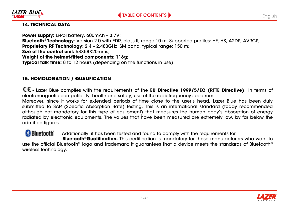

<span id="page-31-0"></span>

### **14. TECHNICAL DATA**

**Power supply:** Li-Pol battery, 600mAh – 3,7V; **Bluetooth**® **Technology**: Version 2.0 with EDR, class II, range:10 m. Supported profiles: HF, HS, A2DP, AVRCP; **Proprietary RF Technology**: 2,4 – 2,483GHz ISM band, typical range: 150 m; **Size of the control unit:** 68X58X20mms; **Weight of the helmet-fitted components:** 116g; **Typical talk time:** 8 to 12 hours (depending on the functions in use).

### **15. HOMOLOGATION / QUALIFICATION**

- Lazer Blue complies with the requirements of the **EU Directive 1999/5/EC (RTTE Directive)** in terms of electromagnetic compatibility, health and safety, use of the radiofrequency spectrum.

Moreover, since it works for extended periods of time close to the user's head, Lazer Blue has been duly submitted to SAR (Specific Absorption Rate) testing. This is an international standard (today recommended although not mandatory for this type of equipment) that measures the human body's absorption of energy radiated by electronic equipments. The values that have been measured are extremely low, by far below the admitted figures.

**B** Bluetooth Additionally it has been tested and found to comply with the requirements for  **Bluetooth**®**Qualification.** This certification is mandatory for those manufacturers who want to use the official Bluetooth® logo and trademark; it guarantees that a device meets the standards of Bluetooth® wireless technology.

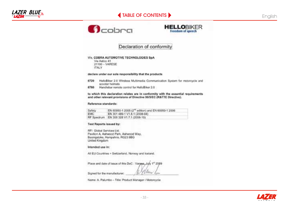## [TABLE OF CONTENTS](#page-3-0)





#### Declaration of conformity

#### We, COBRA AUTOMOTIVE TECHNOLOGIES SpA

Via Astico 41 21100 - VARESE **ITALY** 

#### declars under our sole responsibility that the products

- 6720 HelloBiker 2.0 Wireless Multimedia Communication System for motorcycle and scooter helmets
- 6780 Handlebar remote control for HelloBiker 2.0

#### to which this declaration relates are in conformity with the essential requirements. and other relevant provisions of Directive 99/5/EC (R&TTE Directive).

#### Reference standards:

| Safety | EN 60950-1 2005 (2 <sup>nd</sup> edition) and EN 60950-1 2006 |
|--------|---------------------------------------------------------------|
| EMC    | EN 301 489-1 V1.8.1 (2008-04)                                 |
|        | RF Spectrum EN 300 328 V1.7.1 (2006-10)                       |

#### **Test Reports issued by:**

RFI Giobal Services Ltd. Pavlion A, Ashwood Park, Ashwood Way, Basingstoke, Hampshire, RG23 8BG **United Kingdom** 

#### Intended use in:

All EU Countries + Switzerland. Norway and loeland.

Place and date of issue of this DoC : Varyea, July 1" 2009

Signed for the manufacturer:

Name: A. Palumbo - Title: Product Manager / Motorcycle



wu